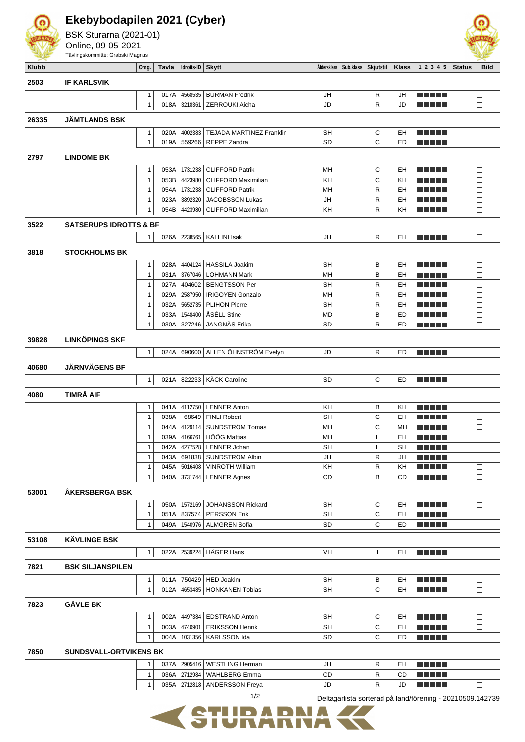

**Ekebybodapilen 2021 (Cyber)**

Online, 09-05-2021



|              | Tävlingskommitté: Grabski Magnus  |                              |              |                    |                                        |                 |                                     |              |              |                         |               |                  |
|--------------|-----------------------------------|------------------------------|--------------|--------------------|----------------------------------------|-----------------|-------------------------------------|--------------|--------------|-------------------------|---------------|------------------|
| <b>Klubb</b> |                                   | Omg.                         | Tavla        | Idrotts-ID         | <b>Skytt</b>                           |                 | Aldersklass   Sub.klass   Skjutstil |              | <b>Klass</b> | 1 2 3 4 5               | <b>Status</b> | <b>Bild</b>      |
| 2503         | <b>IF KARLSVIK</b>                |                              |              |                    |                                        |                 |                                     |              |              |                         |               |                  |
|              |                                   |                              |              |                    |                                        |                 |                                     |              |              |                         |               |                  |
|              |                                   | 1                            | 017A         | 4568535            | <b>BURMAN Fredrik</b>                  | JH              |                                     | R            | JH           |                         |               | $\Box$<br>$\Box$ |
|              |                                   | $\mathbf{1}$                 | 018A         | 3218361            | <b>ZERROUKI Aicha</b>                  | JD              |                                     | R            | JD           | .                       |               |                  |
| 26335        | <b>JÄMTLANDS BSK</b>              |                              |              |                    |                                        |                 |                                     |              |              |                         |               |                  |
|              |                                   | $\mathbf{1}$                 | 020A         | 4002383            | <b>TEJADA MARTINEZ Franklin</b>        | <b>SH</b>       |                                     | С            | EH           |                         |               | $\Box$           |
|              |                                   | $\mathbf{1}$                 | 019A         | 559266             | <b>REPPE Zandra</b>                    | SD              |                                     | C            | ED           | n din din               |               | П                |
| 2797         | <b>LINDOME BK</b>                 |                              |              |                    |                                        |                 |                                     |              |              |                         |               |                  |
|              |                                   | $\mathbf{1}$                 | 053A         | 1731238            | <b>CLIFFORD Patrik</b>                 | MH              |                                     | C            | EH           |                         |               | $\Box$           |
|              |                                   | $\mathbf{1}$                 | 053B         | 4423980            | <b>CLIFFORD Maximilian</b>             | KH              |                                     | $\mathsf{C}$ | KH           | T FIFTIT                |               | $\Box$           |
|              |                                   | $\mathbf{1}$                 | 054A         | 1731238            | <b>CLIFFORD Patrik</b>                 | MН              |                                     | R            | EH           | n din bir               |               | $\Box$           |
|              |                                   | $\mathbf{1}$                 | 023A         | 3892320            | <b>JACOBSSON Lukas</b>                 | JH              |                                     | R            | EH           | an bin bin b            |               | □                |
|              |                                   | $\mathbf{1}$                 | 054B         | 4423980            | <b>CLIFFORD Maximilian</b>             | KH              |                                     | R            | KH           |                         |               | $\Box$           |
|              | <b>SATSERUPS IDROTTS &amp; BF</b> |                              |              |                    |                                        |                 |                                     |              |              |                         |               |                  |
| 3522         |                                   |                              |              |                    |                                        |                 |                                     |              |              |                         |               |                  |
|              |                                   | $\mathbf{1}$                 | 026A         | 2238565            | <b>KALLINI Isak</b>                    | JH              |                                     | R            | EH           | n din bin               |               | $\Box$           |
| 3818         | <b>STOCKHOLMS BK</b>              |                              |              |                    |                                        |                 |                                     |              |              |                         |               |                  |
|              |                                   | $\mathbf{1}$                 | 028A         | 4404124            | <b>HASSILA Joakim</b>                  | <b>SH</b>       |                                     | B            | EH           |                         |               | □                |
|              |                                   | $\mathbf{1}$                 | 031A         | 3767046            | <b>LOHMANN Mark</b>                    | MН              |                                     | B            | EH           | TI TITLE                |               | $\Box$           |
|              |                                   | $\mathbf{1}$                 | 027A         | 404602             | <b>BENGTSSON Per</b>                   | <b>SH</b>       |                                     | R            | EH           | TN TN T                 |               | $\Box$           |
|              |                                   | $\mathbf{1}$                 | 029A         | 2587950            | <b>IRIGOYEN Gonzalo</b>                | MН              |                                     | $\mathsf{R}$ | EH           | a katika Kabupatén Ing  |               | $\Box$           |
|              |                                   | $\mathbf{1}$                 | 032A         | 5652735            | PLIHON Pierre                          | <b>SH</b>       |                                     | R            | EH           | M E E E E               |               | $\Box$           |
|              |                                   | $\mathbf{1}$                 | 033A         | 1548400            | ÅSÉLL Stine                            | <b>MD</b>       |                                     | B            | ED           | S DI DI DI              |               | $\Box$           |
|              |                                   | $\mathbf{1}$                 | 030A         | 327246             | JANGNÄS Erika                          | <b>SD</b>       |                                     | R            | ED           |                         |               | $\Box$           |
| 39828        | <b>LINKÖPINGS SKF</b>             |                              |              |                    |                                        |                 |                                     |              |              |                         |               |                  |
|              |                                   | $\mathbf{1}$                 | 024A         | 690600             | ALLEN ÖHNSTRÖM Evelyn                  | JD              |                                     | R            | ED           | n na m                  |               | $\Box$           |
|              |                                   |                              |              |                    |                                        |                 |                                     |              |              |                         |               |                  |
| 40680        | <b>JÄRNVÄGENS BF</b>              |                              |              |                    |                                        |                 |                                     |              |              |                         |               |                  |
|              |                                   | $\mathbf{1}$                 | 021A         | 822233             | <b>KÄCK Caroline</b>                   | <b>SD</b>       |                                     | С            | ED           | TI TITLE                |               | $\Box$           |
| 4080         | <b>TIMRÅ AIF</b>                  |                              |              |                    |                                        |                 |                                     |              |              |                         |               |                  |
|              |                                   | $\mathbf{1}$                 | 041A         | 4112750            | <b>LENNER Anton</b>                    | KH              |                                     | B            | KH           |                         |               | $\Box$           |
|              |                                   | $\mathbf{1}$                 | 038A         | 68649              | <b>FINLI Robert</b>                    | <b>SH</b>       |                                     | C            | EH           | TI TITLE                |               | $\Box$           |
|              |                                   | $\mathbf{1}$                 | 044A         | 4129114            | SUNDSTRÖM Tomas                        | MН              |                                     | C            | МH           | Tin Tin                 |               | $\Box$           |
|              |                                   | $\mathbf{1}$                 | 039A         | 4166761            | HÖÖG Mattias                           | MН              |                                     | L            | EH           | <u> Literatur</u>       |               | $\Box$           |
|              |                                   | $\mathbf{1}$                 | 042A         | 4277528            | LENNER Johan                           | SH              |                                     |              | <b>SH</b>    | n din din s             |               | $\Box$           |
|              |                                   | $\mathbf{1}$                 | 043A         | 691838             | SUNDSTRÖM Albin                        | JH              |                                     | R            | JH           | <u> Literatur</u>       |               | $\Box$           |
|              |                                   | $\mathbf{1}$                 | 045A         | 5016408            | <b>VINROTH William</b>                 | ΚH              |                                     | R            | KH           |                         |               | □                |
|              |                                   | $\mathbf{1}$                 | 040A         | 3731744            | <b>LENNER Agnes</b>                    | CD              |                                     | B            | CD           | <u> 2008 - 200</u>      |               | □                |
| 53001        | <b>AKERSBERGA BSK</b>             |                              |              |                    |                                        |                 |                                     |              |              |                         |               |                  |
|              |                                   | $\mathbf{1}$                 | 050A         | 1572169            | <b>JOHANSSON Rickard</b>               | SΗ              |                                     | С            | EH           | n di Titolo             |               | □                |
|              |                                   | $\mathbf{1}$                 | 051A         | 837574             | <b>PERSSON Erik</b>                    | <b>SH</b>       |                                     | C            | EH           | TI TITLE                |               | $\Box$           |
|              |                                   | $\mathbf{1}$                 | 049A         | 1540976            | <b>ALMGREN Sofia</b>                   | <b>SD</b>       |                                     | C            | ED           | <u> El Bertin</u>       |               | □                |
| 53108        | <b>KÄVLINGE BSK</b>               |                              |              |                    |                                        |                 |                                     |              |              |                         |               |                  |
|              |                                   |                              |              |                    |                                        |                 |                                     |              |              |                         |               |                  |
|              |                                   | $\mathbf{1}$                 |              | 022A 2539224       | <b>HÄGER Hans</b>                      | VH              |                                     | 1            | EH           | n din bin               |               | $\Box$           |
| 7821         | <b>BSK SILJANSPILEN</b>           |                              |              |                    |                                        |                 |                                     |              |              |                         |               |                  |
|              |                                   | $\mathbf{1}$                 | 011A         | 750429             | <b>HED Joakim</b>                      | <b>SH</b>       |                                     | В            | EH           | TI TITLE                |               | □                |
|              |                                   | $\mathbf{1}$                 | 012A         | 4653485            | <b>HONKANEN Tobias</b>                 | <b>SH</b>       |                                     | C            | EH           | n din bir               |               | $\Box$           |
|              | <b>GÄVLE BK</b>                   |                              |              |                    |                                        |                 |                                     |              |              |                         |               |                  |
| 7823         |                                   |                              |              |                    |                                        |                 |                                     |              |              |                         |               |                  |
|              |                                   | $\mathbf{1}$                 | 002A         | 4497384            | <b>EDSTRAND Anton</b>                  | <b>SH</b>       |                                     | С            | EH           | M SI SI SI S            |               | □                |
|              |                                   | $\mathbf{1}$<br>$\mathbf{1}$ | 003A<br>004A | 4740901<br>1031356 | <b>ERIKSSON Henrik</b><br>KARLSSON Ida | SН<br><b>SD</b> |                                     | С<br>С       | EH<br>ED     | <u> 2008 - 200</u><br>. |               | $\Box$<br>$\Box$ |
|              |                                   |                              |              |                    |                                        |                 |                                     |              |              |                         |               |                  |
| 7850         | <b>SUNDSVALL-ORTVIKENS BK</b>     |                              |              |                    |                                        |                 |                                     |              |              |                         |               |                  |
|              |                                   | 1                            | 037A         | 2905416            | <b>WESTLING Herman</b>                 | JH              |                                     | R            | EH           | 300 E S                 |               | □                |
|              |                                   | $\mathbf{1}$                 | 036A         | 2712984            | <b>WAHLBERG Emma</b>                   | CD              |                                     | R            | CD           | <u> 2008 - 200</u>      |               | $\Box$           |
|              |                                   | $\mathbf{1}$                 |              |                    | 035A 2712818   ANDERSSON Freya         | JD              |                                     | R            | JD           | n din Film              |               | П                |